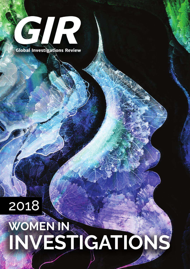

**Global Investigations Review** 

2018

## **WOMEN IN INVESTIGATIONS**